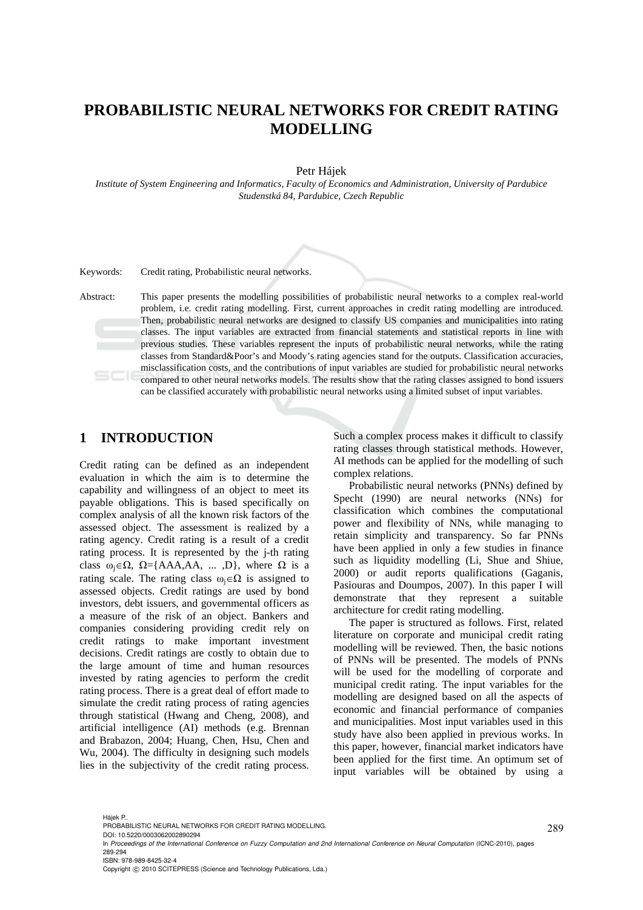# **PROBABILISTIC NEURAL NETWORKS FOR CREDIT RATING MODELLING**

Petr Hájek

*Institute of System Engineering and Informatics, Faculty of Economics and Administration, University of Pardubice Studenstká 84, Pardubice, Czech Republic* 

Keywords: Credit rating, Probabilistic neural networks.

Abstract: This paper presents the modelling possibilities of probabilistic neural networks to a complex real-world problem, i.e. credit rating modelling. First, current approaches in credit rating modelling are introduced. Then, probabilistic neural networks are designed to classify US companies and municipalities into rating classes. The input variables are extracted from financial statements and statistical reports in line with previous studies. These variables represent the inputs of probabilistic neural networks, while the rating classes from Standard&Poor's and Moody's rating agencies stand for the outputs. Classification accuracies, misclassification costs, and the contributions of input variables are studied for probabilistic neural networks compared to other neural networks models. The results show that the rating classes assigned to bond issuers can be classified accurately with probabilistic neural networks using a limited subset of input variables.

#### **1 INTRODUCTION**

Credit rating can be defined as an independent evaluation in which the aim is to determine the capability and willingness of an object to meet its payable obligations. This is based specifically on complex analysis of all the known risk factors of the assessed object. The assessment is realized by a rating agency. Credit rating is a result of a credit rating process. It is represented by the j-th rating class  $\omega_i \in \Omega$ ,  $\Omega = \{AAA,AA, \dots, D\}$ , where  $\Omega$  is a rating scale. The rating class  $\omega_i \in \Omega$  is assigned to assessed objects. Credit ratings are used by bond investors, debt issuers, and governmental officers as a measure of the risk of an object. Bankers and companies considering providing credit rely on credit ratings to make important investment decisions. Credit ratings are costly to obtain due to the large amount of time and human resources invested by rating agencies to perform the credit rating process. There is a great deal of effort made to simulate the credit rating process of rating agencies through statistical (Hwang and Cheng, 2008), and artificial intelligence (AI) methods (e.g. Brennan and Brabazon, 2004; Huang, Chen, Hsu, Chen and Wu, 2004). The difficulty in designing such models lies in the subjectivity of the credit rating process.

Such a complex process makes it difficult to classify rating classes through statistical methods. However, AI methods can be applied for the modelling of such complex relations.

Probabilistic neural networks (PNNs) defined by Specht (1990) are neural networks (NNs) for classification which combines the computational power and flexibility of NNs, while managing to retain simplicity and transparency. So far PNNs have been applied in only a few studies in finance such as liquidity modelling (Li, Shue and Shiue, 2000) or audit reports qualifications (Gaganis, Pasiouras and Doumpos, 2007). In this paper I will demonstrate that they represent a suitable architecture for credit rating modelling.

The paper is structured as follows. First, related literature on corporate and municipal credit rating modelling will be reviewed. Then, the basic notions of PNNs will be presented. The models of PNNs will be used for the modelling of corporate and municipal credit rating. The input variables for the modelling are designed based on all the aspects of economic and financial performance of companies and municipalities. Most input variables used in this study have also been applied in previous works. In this paper, however, financial market indicators have been applied for the first time. An optimum set of input variables will be obtained by using a

Hájek P..

PROBABILISTIC NEURAL NETWORKS FOR CREDIT RATING MODELLING. DOI: 10.5220/0003062002890294

In *Proceedings of the International Conference on Fuzzy Computation and 2nd International Conference on Neural Computation* (ICNC-2010), pages 289-294

ISBN: 978-989-8425-32-4

Copyright © 2010 SCITEPRESS (Science and Technology Publications, Lda.)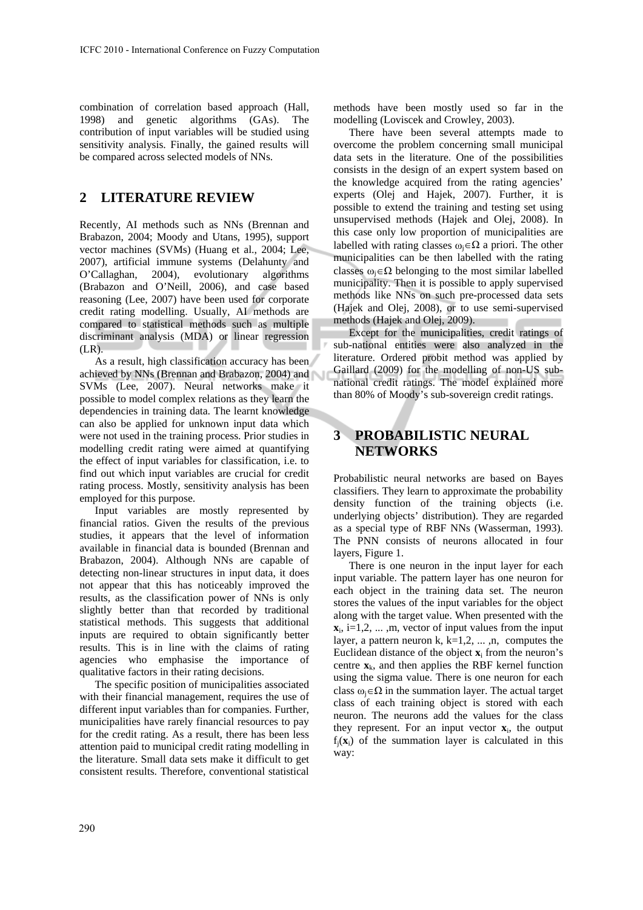combination of correlation based approach (Hall, 1998) and genetic algorithms (GAs). The contribution of input variables will be studied using sensitivity analysis. Finally, the gained results will be compared across selected models of NNs.

## **2 LITERATURE REVIEW**

Recently, AI methods such as NNs (Brennan and Brabazon, 2004; Moody and Utans, 1995), support vector machines (SVMs) (Huang et al., 2004; Lee, 2007), artificial immune systems (Delahunty and O'Callaghan, 2004), evolutionary algorithms (Brabazon and O'Neill, 2006), and case based reasoning (Lee, 2007) have been used for corporate credit rating modelling. Usually, AI methods are compared to statistical methods such as multiple discriminant analysis (MDA) or linear regression (LR).

As a result, high classification accuracy has been achieved by NNs (Brennan and Brabazon, 2004) and SVMs (Lee, 2007). Neural networks make it possible to model complex relations as they learn the dependencies in training data. The learnt knowledge can also be applied for unknown input data which were not used in the training process. Prior studies in modelling credit rating were aimed at quantifying the effect of input variables for classification, i.e. to find out which input variables are crucial for credit rating process. Mostly, sensitivity analysis has been employed for this purpose.

Input variables are mostly represented by financial ratios. Given the results of the previous studies, it appears that the level of information available in financial data is bounded (Brennan and Brabazon, 2004). Although NNs are capable of detecting non-linear structures in input data, it does not appear that this has noticeably improved the results, as the classification power of NNs is only slightly better than that recorded by traditional statistical methods. This suggests that additional inputs are required to obtain significantly better results. This is in line with the claims of rating agencies who emphasise the importance of qualitative factors in their rating decisions.

The specific position of municipalities associated with their financial management, requires the use of different input variables than for companies. Further, municipalities have rarely financial resources to pay for the credit rating. As a result, there has been less attention paid to municipal credit rating modelling in the literature. Small data sets make it difficult to get consistent results. Therefore, conventional statistical

methods have been mostly used so far in the modelling (Loviscek and Crowley, 2003).

There have been several attempts made to overcome the problem concerning small municipal data sets in the literature. One of the possibilities consists in the design of an expert system based on the knowledge acquired from the rating agencies' experts (Olej and Hajek, 2007). Further, it is possible to extend the training and testing set using unsupervised methods (Hajek and Olej, 2008). In this case only low proportion of municipalities are labelled with rating classes  $\omega_i \in \Omega$  a priori. The other municipalities can be then labelled with the rating classes  $\omega_i \in \Omega$  belonging to the most similar labelled municipality. Then it is possible to apply supervised methods like NNs on such pre-processed data sets (Hajek and Olej, 2008), or to use semi-supervised methods (Hajek and Olej, 2009).

Except for the municipalities, credit ratings of sub-national entities were also analyzed in the literature. Ordered probit method was applied by Gaillard (2009) for the modelling of non-US subnational credit ratings. The model explained more than 80% of Moody's sub-sovereign credit ratings.

## **3 PROBABILISTIC NEURAL NETWORKS**

Probabilistic neural networks are based on Bayes classifiers. They learn to approximate the probability density function of the training objects (i.e. underlying objects' distribution). They are regarded as a special type of RBF NNs (Wasserman, 1993). The PNN consists of neurons allocated in four layers, Figure 1.

There is one neuron in the input layer for each input variable. The pattern layer has one neuron for each object in the training data set. The neuron stores the values of the input variables for the object along with the target value. When presented with the  $\mathbf{x}_i$ , i=1,2, ..., m, vector of input values from the input layer, a pattern neuron k,  $k=1,2, \ldots, n$ , computes the Euclidean distance of the object  $\mathbf{x}_i$  from the neuron's centre  $\mathbf{x}_k$ , and then applies the RBF kernel function using the sigma value. There is one neuron for each class  $\omega_i \in \Omega$  in the summation layer. The actual target class of each training object is stored with each neuron. The neurons add the values for the class they represent. For an input vector  $\mathbf{x}_i$ , the output  $f_i(x_i)$  of the summation layer is calculated in this way: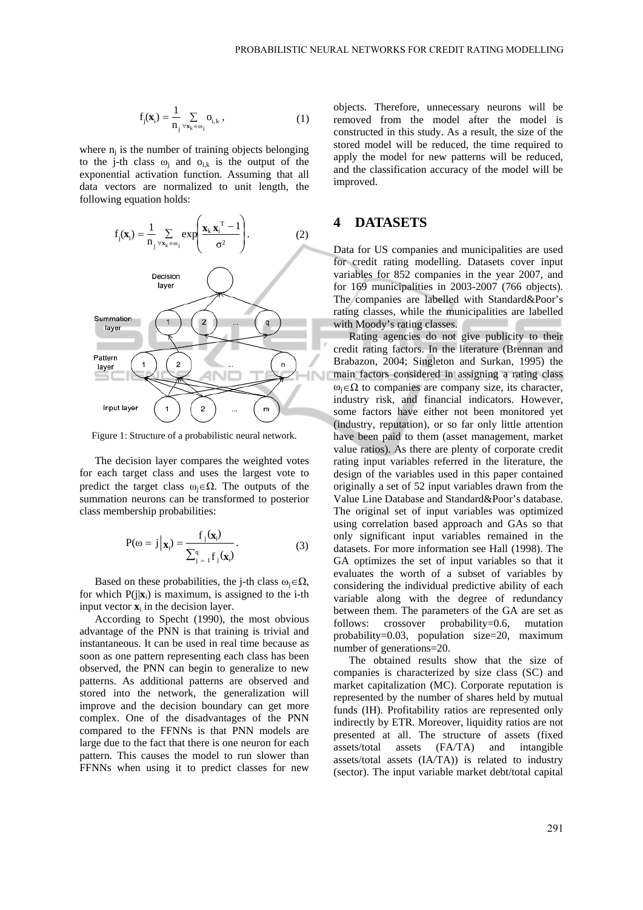$$
f_j(\mathbf{x}_i) = \frac{1}{n_j} \sum_{\forall \mathbf{x}_k \in \omega_j} o_{i,k} ,
$$
 (1)

where  $n_i$  is the number of training objects belonging to the j-th class  $\omega_i$  and  $\omega_{i,k}$  is the output of the exponential activation function. Assuming that all data vectors are normalized to unit length, the following equation holds:



Figure 1: Structure of a probabilistic neural network.

The decision layer compares the weighted votes for each target class and uses the largest vote to predict the target class  $\omega_i \in \Omega$ . The outputs of the summation neurons can be transformed to posterior class membership probabilities:

$$
P(\omega = j \mid \mathbf{x}_i) = \frac{f_j(\mathbf{x}_i)}{\sum_{j=1}^q f_j(\mathbf{x}_i)}.
$$
 (3)

Based on these probabilities, the j-th class  $\omega_i \in \Omega$ , for which  $P(i|\mathbf{x}_i)$  is maximum, is assigned to the i-th input vector  $\mathbf{x}_i$  in the decision layer.

According to Specht (1990), the most obvious advantage of the PNN is that training is trivial and instantaneous. It can be used in real time because as soon as one pattern representing each class has been observed, the PNN can begin to generalize to new patterns. As additional patterns are observed and stored into the network, the generalization will improve and the decision boundary can get more complex. One of the disadvantages of the PNN compared to the FFNNs is that PNN models are large due to the fact that there is one neuron for each pattern. This causes the model to run slower than FFNNs when using it to predict classes for new

objects. Therefore, unnecessary neurons will be removed from the model after the model is constructed in this study. As a result, the size of the stored model will be reduced, the time required to apply the model for new patterns will be reduced, and the classification accuracy of the model will be improved.

## **4 DATASETS**

Data for US companies and municipalities are used for credit rating modelling. Datasets cover input variables for 852 companies in the year 2007, and for 169 municipalities in 2003-2007 (766 objects). The companies are labelled with Standard&Poor's rating classes, while the municipalities are labelled with Moody's rating classes.

Rating agencies do not give publicity to their credit rating factors. In the literature (Brennan and Brabazon, 2004; Singleton and Surkan, 1995) the main factors considered in assigning a rating class  $\omega_i \in \Omega$  to companies are company size, its character, industry risk, and financial indicators. However, some factors have either not been monitored yet (industry, reputation), or so far only little attention have been paid to them (asset management, market value ratios). As there are plenty of corporate credit rating input variables referred in the literature, the design of the variables used in this paper contained originally a set of 52 input variables drawn from the Value Line Database and Standard&Poor's database. The original set of input variables was optimized using correlation based approach and GAs so that only significant input variables remained in the datasets. For more information see Hall (1998). The GA optimizes the set of input variables so that it evaluates the worth of a subset of variables by considering the individual predictive ability of each variable along with the degree of redundancy between them. The parameters of the GA are set as follows: crossover probability=0.6, mutation probability=0.03, population size=20, maximum number of generations=20.

The obtained results show that the size of companies is characterized by size class (SC) and market capitalization (MC). Corporate reputation is represented by the number of shares held by mutual funds (IH). Profitability ratios are represented only indirectly by ETR. Moreover, liquidity ratios are not presented at all. The structure of assets (fixed assets/total assets (FA/TA) and intangible assets/total assets (IA/TA)) is related to industry (sector). The input variable market debt/total capital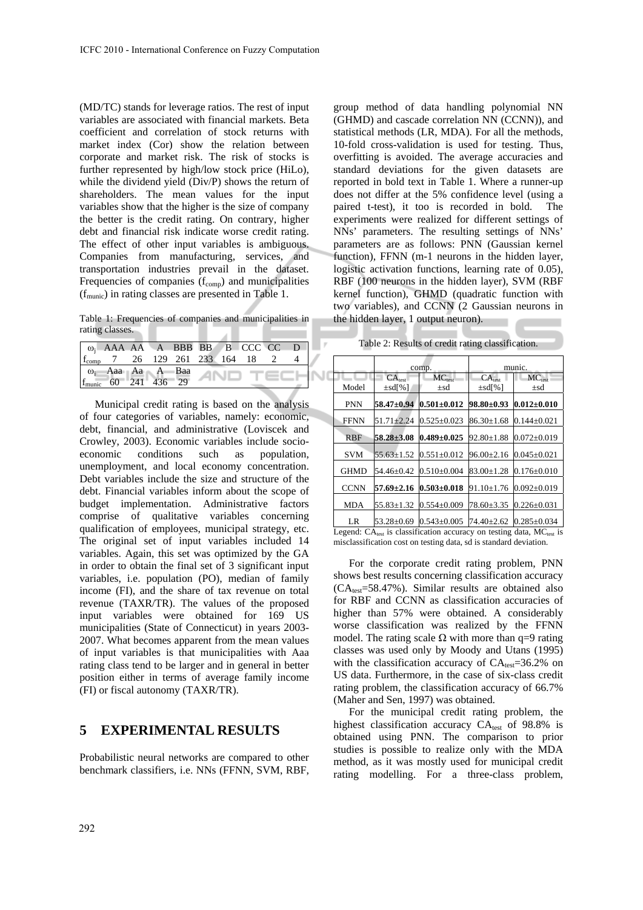(MD/TC) stands for leverage ratios. The rest of input variables are associated with financial markets. Beta coefficient and correlation of stock returns with market index (Cor) show the relation between corporate and market risk. The risk of stocks is further represented by high/low stock price (HiLo), while the dividend yield (Div/P) shows the return of shareholders. The mean values for the input variables show that the higher is the size of company the better is the credit rating. On contrary, higher debt and financial risk indicate worse credit rating. The effect of other input variables is ambiguous. Companies from manufacturing, services, and transportation industries prevail in the dataset. Frequencies of companies  $(f_{\text{comp}})$  and municipalities (fmunic) in rating classes are presented in Table 1.

Table 1: Frequencies of companies and municipalities in rating classes.  $\lambda$ 

|                                  |  |  | $\Box$ $\omega_i$ AAA AA A BBB BB B CCC CC D                                          |  |
|----------------------------------|--|--|---------------------------------------------------------------------------------------|--|
|                                  |  |  | $\begin{bmatrix} f_{\text{comp}} & 7 & 26 & 129 & 261 & 233 & 164 & 18 \end{bmatrix}$ |  |
| $\omega_i$ Aaa Aa A Baa          |  |  |                                                                                       |  |
| $f_{\text{munic}}$ 60 241 436 29 |  |  |                                                                                       |  |

Municipal credit rating is based on the analysis of four categories of variables, namely: economic, debt, financial, and administrative (Loviscek and Crowley, 2003). Economic variables include socioeconomic conditions such as population, unemployment, and local economy concentration. Debt variables include the size and structure of the debt. Financial variables inform about the scope of budget implementation. Administrative factors comprise of qualitative variables concerning qualification of employees, municipal strategy, etc. The original set of input variables included 14 variables. Again, this set was optimized by the GA in order to obtain the final set of 3 significant input variables, i.e. population (PO), median of family income (FI), and the share of tax revenue on total revenue (TAXR/TR). The values of the proposed input variables were obtained for 169 US municipalities (State of Connecticut) in years 2003- 2007. What becomes apparent from the mean values of input variables is that municipalities with Aaa rating class tend to be larger and in general in better position either in terms of average family income (FI) or fiscal autonomy (TAXR/TR).

#### **5 EXPERIMENTAL RESULTS**

Probabilistic neural networks are compared to other benchmark classifiers, i.e. NNs (FFNN, SVM, RBF,

group method of data handling polynomial NN (GHMD) and cascade correlation NN (CCNN)), and statistical methods (LR, MDA). For all the methods, 10-fold cross-validation is used for testing. Thus, overfitting is avoided. The average accuracies and standard deviations for the given datasets are reported in bold text in Table 1. Where a runner-up does not differ at the 5% confidence level (using a paired t-test), it too is recorded in bold. The experiments were realized for different settings of NNs' parameters. The resulting settings of NNs' parameters are as follows: PNN (Gaussian kernel function), FFNN (m-1 neurons in the hidden layer, logistic activation functions, learning rate of 0.05), RBF (100 neurons in the hidden layer), SVM (RBF kernel function), GHMD (quadratic function with two variables), and CCNN (2 Gaussian neurons in the hidden layer, 1 output neuron).

| Table 2: Results of credit rating classification. |  |  |  |  |  |  |  |
|---------------------------------------------------|--|--|--|--|--|--|--|
|---------------------------------------------------|--|--|--|--|--|--|--|

|             |                  |                                                              | munic.                                                                                                                                                                                                         |                                                                                                        |  |  |
|-------------|------------------|--------------------------------------------------------------|----------------------------------------------------------------------------------------------------------------------------------------------------------------------------------------------------------------|--------------------------------------------------------------------------------------------------------|--|--|
|             |                  |                                                              |                                                                                                                                                                                                                |                                                                                                        |  |  |
|             |                  |                                                              |                                                                                                                                                                                                                | $MC_{test}$                                                                                            |  |  |
|             |                  | $\pm$ sd                                                     |                                                                                                                                                                                                                | $\pm$ sd                                                                                               |  |  |
| <b>PNN</b>  | $58.47 + 0.94$   |                                                              | $98.80 \pm 0.93$                                                                                                                                                                                               | $0.012 \pm 0.010$                                                                                      |  |  |
| <b>FFNN</b> | $51.71 + 2.24$   |                                                              | $86.30 \pm 1.68$                                                                                                                                                                                               | $0.144 \pm 0.021$                                                                                      |  |  |
| <b>RBF</b>  | $58.28 \pm 3.08$ |                                                              | $92.80 \pm 1.88$                                                                                                                                                                                               | $0.072 \pm 0.019$                                                                                      |  |  |
| <b>SVM</b>  | $55.63 \pm 1.52$ |                                                              |                                                                                                                                                                                                                | $0.045 \pm 0.021$                                                                                      |  |  |
| <b>GHMD</b> | 54.46+0.42       |                                                              | $83.00 + 1.28$                                                                                                                                                                                                 | $0.176 \pm 0.010$                                                                                      |  |  |
| <b>CCNN</b> | $57.69 \pm 2.16$ |                                                              | $91.10 \pm 1.76$                                                                                                                                                                                               | $0.092 \pm 0.019$                                                                                      |  |  |
| <b>MDA</b>  | $55.83 \pm 1.32$ |                                                              | 78.60±3.35                                                                                                                                                                                                     | $0.226 \pm 0.031$                                                                                      |  |  |
| LR          | $53.28 \pm 0.69$ |                                                              |                                                                                                                                                                                                                | $0.285 \pm 0.034$                                                                                      |  |  |
|             | Model<br>т.      | CA <sub>test</sub><br>$\pm$ sd[%]<br>$\sim$ $\sim$<br>$\sim$ | comp.<br>$MC_{test}$<br>$0.501 \pm 0.012$<br>$0.525 \pm 0.023$<br>$0.489 \pm 0.025$<br>$0.551 \pm 0.012$<br>$0.510 \pm 0.004$<br>$0.503 \pm 0.018$<br>$0.554 \pm 0.009$<br>$0.543 \pm 0.005$<br>$\cdot$ $\sim$ | CA <sub>test</sub><br>$\pm$ sd[%]<br>$96.00 \pm 2.16$<br>$74.40 \pm 2.62$<br>$\mathbf{1}$ $\mathbf{1}$ |  |  |

Legend:  $CA_{test}$  is classification accuracy on testing data,  $MC_{test}$  is misclassification cost on testing data, sd is standard deviation.

For the corporate credit rating problem, PNN shows best results concerning classification accuracy  $(CA<sub>test</sub>=58.47%)$ . Similar results are obtained also for RBF and CCNN as classification accuracies of higher than 57% were obtained. A considerably worse classification was realized by the FFNN model. The rating scale Ω with more than q=9 rating classes was used only by Moody and Utans (1995) with the classification accuracy of  $CA<sub>test</sub>=36.2%$  on US data. Furthermore, in the case of six-class credit rating problem, the classification accuracy of 66.7% (Maher and Sen, 1997) was obtained.

For the municipal credit rating problem, the highest classification accuracy  $CA_{test}$  of 98.8% is obtained using PNN. The comparison to prior studies is possible to realize only with the MDA method, as it was mostly used for municipal credit rating modelling. For a three-class problem,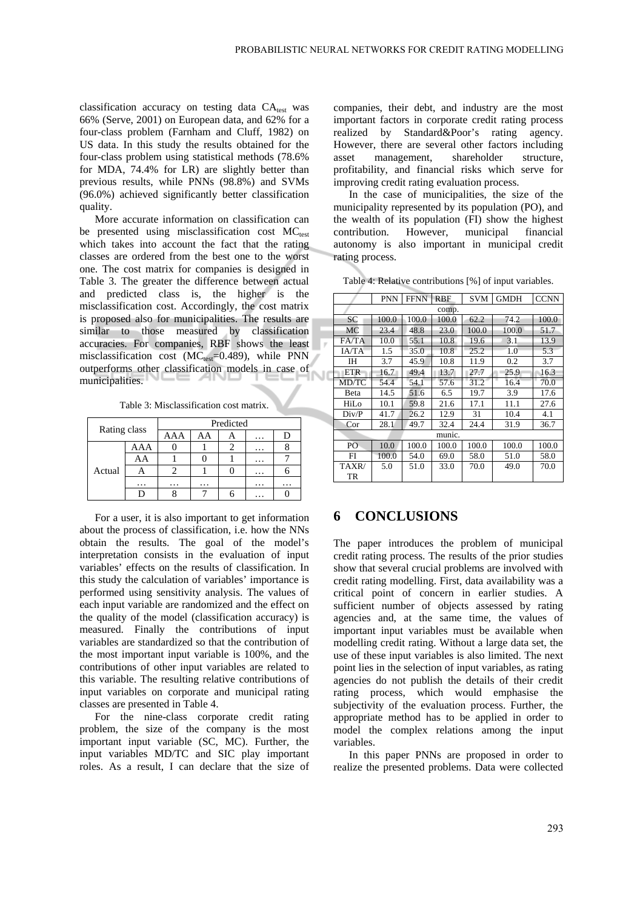classification accuracy on testing data  $CA<sub>test</sub>$  was 66% (Serve, 2001) on European data, and 62% for a four-class problem (Farnham and Cluff, 1982) on US data. In this study the results obtained for the four-class problem using statistical methods (78.6% for MDA, 74.4% for LR) are slightly better than previous results, while PNNs (98.8%) and SVMs (96.0%) achieved significantly better classification quality.

More accurate information on classification can be presented using misclassification cost  $MC_{\text{test}}$ which takes into account the fact that the rating classes are ordered from the best one to the worst one. The cost matrix for companies is designed in Table 3. The greater the difference between actual and predicted class is, the higher is the misclassification cost. Accordingly, the cost matrix is proposed also for municipalities. The results are similar to those measured by classification accuracies. For companies, RBF shows the least misclassification cost ( $MC_{test}=0.489$ ), while PNN outperforms other classification models in case of municipalities.

Table 3: Misclassification cost matrix.

| Rating class |     | Predicted |    |  |          |   |  |  |
|--------------|-----|-----------|----|--|----------|---|--|--|
|              |     | AAA       | AA |  | $\cdots$ |   |  |  |
|              | AAA |           |    |  | .        |   |  |  |
|              | AA  |           |    |  | .        |   |  |  |
| Actual       | Α   |           |    |  | $\cdots$ |   |  |  |
|              | .   | .         | .  |  | .        | . |  |  |
|              |     |           |    |  | $\cdots$ |   |  |  |

For a user, it is also important to get information about the process of classification, i.e. how the NNs obtain the results. The goal of the model's interpretation consists in the evaluation of input variables' effects on the results of classification. In this study the calculation of variables' importance is performed using sensitivity analysis. The values of each input variable are randomized and the effect on the quality of the model (classification accuracy) is measured. Finally the contributions of input variables are standardized so that the contribution of the most important input variable is 100%, and the contributions of other input variables are related to this variable. The resulting relative contributions of input variables on corporate and municipal rating classes are presented in Table 4.

For the nine-class corporate credit rating problem, the size of the company is the most important input variable (SC, MC). Further, the input variables MD/TC and SIC play important roles. As a result, I can declare that the size of companies, their debt, and industry are the most important factors in corporate credit rating process realized by Standard&Poor's rating agency. However, there are several other factors including asset management, shareholder structure, profitability, and financial risks which serve for improving credit rating evaluation process.

In the case of municipalities, the size of the municipality represented by its population (PO), and the wealth of its population (FI) show the highest contribution. However, municipal financial autonomy is also important in municipal credit rating process.

Table 4: Relative contributions [%] of input variables.

|            | <b>PNN</b> | <b>FFNN</b> | <b>RBF</b> | <b>SVM</b> | <b>GMDH</b> | <b>CCNN</b> |  |  |
|------------|------------|-------------|------------|------------|-------------|-------------|--|--|
| comp.      |            |             |            |            |             |             |  |  |
| <b>SC</b>  | 100.0      | 100.0       | 100.0      | 62.2       | 74.2        | 100.0       |  |  |
| МC         | 23.4       | 48.8        | 23.0       | 100.0      | 100.0       | 51.7        |  |  |
| FA/TA      | 10.0       | 55.1        | 10.8       | 19.6       | 3.1         | 13.9        |  |  |
| IA/TA      | 1.5        | 35.0        | 10.8       | 25.2       | 1.0         | 5.3         |  |  |
| IΗ         | 3.7        | 45.9        | 10.8       | 11.9       | 0.2         | 3.7         |  |  |
| <b>ETR</b> | 16.7       | 49.4        | 13.7       | 27.7       | 25.9        | 16.3        |  |  |
| MD/TC      | 54.4       | 54.1        | 57.6       | 31.2       | 16.4        | 70.0        |  |  |
| Beta       | 14.5       | 51.6        | 6.5        | 19.7       | 3.9         | 17.6        |  |  |
| HiLo       | 10.1       | 59.8        | 21.6       | 17.1       | 11.1        | 27.6        |  |  |
| Div/P      | 41.7       | 26.2        | 12.9       | 31         | 10.4        | 4.1         |  |  |
| Cor        | 28.1       | 49.7        | 32.4       | 24.4       | 31.9        | 36.7        |  |  |
| munic.     |            |             |            |            |             |             |  |  |
| PO         | 10.0       | 100.0       | 100.0      | 100.0      | 100.0       | 100.0       |  |  |
| FI         | 100.0      | 54.0        | 69.0       | 58.0       | 51.0        | 58.0        |  |  |
| TAXR/      | 5.0        | 51.0        | 33.0       | 70.0       | 49.0        | 70.0        |  |  |
| TR         |            |             |            |            |             |             |  |  |

## **6 CONCLUSIONS**

The paper introduces the problem of municipal credit rating process. The results of the prior studies show that several crucial problems are involved with credit rating modelling. First, data availability was a critical point of concern in earlier studies. A sufficient number of objects assessed by rating agencies and, at the same time, the values of important input variables must be available when modelling credit rating. Without a large data set, the use of these input variables is also limited. The next point lies in the selection of input variables, as rating agencies do not publish the details of their credit rating process, which would emphasise the subjectivity of the evaluation process. Further, the appropriate method has to be applied in order to model the complex relations among the input variables.

In this paper PNNs are proposed in order to realize the presented problems. Data were collected